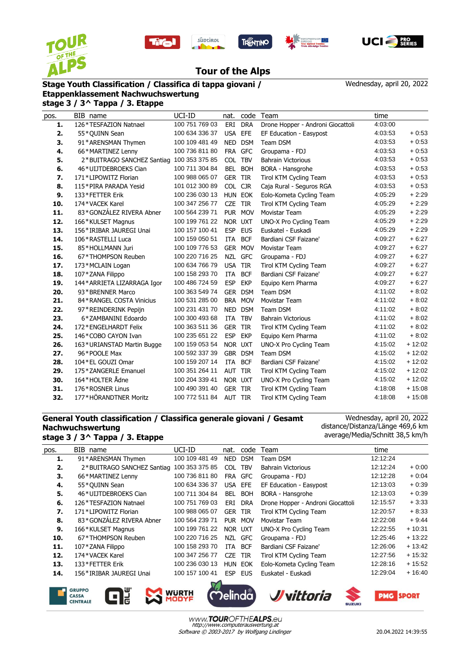









Wednesday, april 20, 2022

## **Tour of the Alps**

## **Stage Youth Classification / Classifica di tappa giovani /**

**Etappenklassement Nachwuchswertung stage 3 / 3^ Tappa / 3. Etappe**

| pos. | BIB name                    | UCI-ID         | nat.           | code       | Team                              | time    |          |
|------|-----------------------------|----------------|----------------|------------|-----------------------------------|---------|----------|
| 1.   | 126*TESFAZION Natnael       | 100 751 769 03 | ERI            | <b>DRA</b> | Drone Hopper - Androni Giocattoli | 4:03:00 |          |
| 2.   | 55*QUINN Sean               | 100 634 336 37 | <b>USA</b>     | EFE        | EF Education - Easypost           | 4:03:53 | $+0.53$  |
| 3.   | 91*ARENSMAN Thymen          | 100 109 481 49 | NED            | <b>DSM</b> | Team DSM                          | 4:03:53 | $+0.53$  |
| 4.   | 66*MARTINEZ Lenny           | 100 736 811 80 |                | FRA GFC    | Groupama - FDJ                    | 4:03:53 | $+0.53$  |
| 5.   | 2*BUITRAGO SANCHEZ Santiag  | 100 353 375 85 | <b>COL</b>     | <b>TBV</b> | <b>Bahrain Victorious</b>         | 4:03:53 | $+0.53$  |
| 6.   | 46*UIJTDEBROEKS Cian        | 100 711 304 84 | <b>BEL</b>     | <b>BOH</b> | BORA - Hansgrohe                  | 4:03:53 | $+0.53$  |
| 7.   | 171*LIPOWITZ Florian        | 100 988 065 07 | <b>GER</b>     | <b>TIR</b> | Tirol KTM Cycling Team            | 4:03:53 | $+0.53$  |
| 8.   | 115*PIRA PARADA Yesid       | 101 012 300 89 | COL CJR        |            | Caja Rural - Seguros RGA          | 4:03:53 | $+0.53$  |
| 9.   | 133*FETTER Erik             | 100 236 030 13 | HUN EOK        |            | Eolo-Kometa Cycling Team          | 4:05:29 | $+2:29$  |
| 10.  | 174*VACEK Karel             | 100 347 256 77 | <b>CZE</b>     | <b>TIR</b> | Tirol KTM Cycling Team            | 4:05:29 | $+2:29$  |
| 11.  | 83*GONZÁLEZ RIVERA Abner    | 100 564 239 71 | <b>PUR</b>     | <b>MOV</b> | Movistar Team                     | 4:05:29 | $+2:29$  |
| 12.  | 166*KULSET Magnus           | 100 199 761 22 | NOR UXT        |            | UNO-X Pro Cycling Team            | 4:05:29 | $+2:29$  |
| 13.  | 156*IRIBAR JAUREGI Unai     | 100 157 100 41 | <b>ESP</b>     | <b>EUS</b> | Euskatel - Euskadi                | 4:05:29 | $+2:29$  |
| 14.  | 106 * RASTELLI Luca         | 100 159 050 51 | ITA            | <b>BCF</b> | Bardiani CSF Faizane'             | 4:09:27 | $+6:27$  |
| 15.  | 85*HOLLMANN Juri            | 100 109 776 53 | <b>GER</b>     | <b>MOV</b> | Movistar Team                     | 4:09:27 | $+6.27$  |
| 16.  | 67*THOMPSON Reuben          | 100 220 716 25 |                | NZL GFC    | Groupama - FDJ                    | 4:09:27 | $+6:27$  |
| 17.  | 173*MCLAIN Logan            | 100 634 766 79 | <b>USA</b>     | <b>TIR</b> | Tirol KTM Cycling Team            | 4:09:27 | $+6:27$  |
| 18.  | 107*ZANA Filippo            | 100 158 293 70 | ITA            | <b>BCF</b> | Bardiani CSF Faizane'             | 4:09:27 | $+6:27$  |
| 19.  | 144* ARRIETA LIZARRAGA Igor | 100 486 724 59 | <b>ESP</b>     | <b>EKP</b> | Equipo Kern Pharma                | 4:09:27 | $+6.27$  |
| 20.  | 93*BRENNER Marco            | 100 363 549 74 | <b>GER</b>     | <b>DSM</b> | Team DSM                          | 4:11:02 | $+8:02$  |
| 21.  | 84*RANGEL COSTA Vinicius    | 100 531 285 00 | <b>BRA</b>     | <b>MOV</b> | Movistar Team                     | 4:11:02 | $+8:02$  |
| 22.  | 97*REINDERINK Pepijn        | 100 231 431 70 | <b>NED</b>     | <b>DSM</b> | Team DSM                          | 4:11:02 | $+8:02$  |
| 23.  | 6*ZAMBANINI Edoardo         | 100 300 493 68 | <b>ITA</b>     | <b>TBV</b> | <b>Bahrain Victorious</b>         | 4:11:02 | $+8:02$  |
| 24.  | 172*ENGELHARDT Felix        | 100 363 511 36 | <b>GER</b>     | <b>TIR</b> | Tirol KTM Cycling Team            | 4:11:02 | $+8:02$  |
| 25.  | 146*COBO CAYON Ivan         | 100 235 651 22 | <b>ESP</b>     | <b>EKP</b> | Equipo Kern Pharma                | 4:11:02 | $+8:02$  |
| 26.  | 163*URIANSTAD Martin Bugge  | 100 159 053 54 | NOR UXT        |            | UNO-X Pro Cycling Team            | 4:15:02 | $+12:02$ |
| 27.  | 96*POOLE Max                | 100 592 337 39 | GBR            | <b>DSM</b> | Team DSM                          | 4:15:02 | $+12:02$ |
| 28.  | 104 * EL GOUZI Omar         | 100 159 207 14 | ITA            | <b>BCF</b> | Bardiani CSF Faizane'             | 4:15:02 | $+12:02$ |
| 29.  | 175*ZANGERLE Emanuel        | 100 351 264 11 | AUT            | <b>TIR</b> | Tirol KTM Cycling Team            | 4:15:02 | $+12:02$ |
| 30.  | 164*HOLTER Ådne             | 100 204 339 41 | NOR UXT        |            | UNO-X Pro Cycling Team            | 4:15:02 | $+12:02$ |
| 31.  | 176*ROSNER Linus            | 100 490 391 40 | <b>GER TIR</b> |            | Tirol KTM Cycling Team            | 4:18:08 | $+15:08$ |
| 32.  | 177*HÖRANDTNER Moritz       | 100 772 511 84 | AUT TIR        |            | Tirol KTM Cycling Team            | 4:18:08 | $+15:08$ |

## **General Youth classification / Classifica generale giovani / Gesamt Nachwuchswertung stage 3 / 3^ Tappa / 3. Etappe**

Wednesday, april 20, 2022 distance/Distanza/Länge 469,6 km average/Media/Schnitt 38,5 km/h

| pos. | BIB name                   | UCI-ID         | nat.           | code       | Team                              | time     |          |  |  |
|------|----------------------------|----------------|----------------|------------|-----------------------------------|----------|----------|--|--|
| 1.   | 91*ARENSMAN Thymen         | 100 109 481 49 | NED            | <b>DSM</b> | Team DSM                          | 12:12:24 |          |  |  |
| 2.   | 2*BUITRAGO SANCHEZ Santiag | 100 353 375 85 | COL TBV        |            | <b>Bahrain Victorious</b>         | 12:12:24 | $+0.00$  |  |  |
| З.   | 66*MARTINEZ Lenny          | 100 736 811 80 |                | FRA GFC    | Groupama - FDJ                    | 12:12:28 | $+0:04$  |  |  |
| 4.   | 55*QUINN Sean              | 100 634 336 37 | USA            | EFE        | EF Education - Easypost           | 12:13:03 | $+0:39$  |  |  |
| 5.   | 46*UIJTDEBROEKS Cian       | 100 711 304 84 | BEL            | <b>BOH</b> | BORA - Hansgrohe                  | 12:13:03 | $+0:39$  |  |  |
| 6.   | 126*TESFAZION Natnael      | 100 751 769 03 | ERI            | <b>DRA</b> | Drone Hopper - Androni Giocattoli | 12:15:57 | $+3:33$  |  |  |
| 7.   | 171*LIPOWITZ Florian       | 100 988 065 07 | <b>GER TIR</b> |            | Tirol KTM Cycling Team            | 12:20:57 | $+8:33$  |  |  |
| 8.   | 83*GONZÁLEZ RIVERA Abner   | 100 564 239 71 |                | PUR MOV    | Movistar Team                     | 12:22:08 | $+9:44$  |  |  |
| 9.   | 166*KULSET Magnus          | 100 199 761 22 | NOR UXT        |            | UNO-X Pro Cycling Team            | 12:22:55 | $+10:31$ |  |  |
| 10.  | 67*THOMPSON Reuben         | 100 220 716 25 |                | NZL GFC    | Groupama - FDJ                    | 12:25:46 | $+13:22$ |  |  |
| 11.  | 107 * ZANA Filippo         | 100 158 293 70 | ITA            | <b>BCF</b> | Bardiani CSF Faizane'             | 12:26:06 | $+13:42$ |  |  |
| 12.  | 174*VACEK Karel            | 100 347 256 77 | CZE            | TIR        | Tirol KTM Cycling Team            | 12:27:56 | $+15:32$ |  |  |
| 13.  | 133*FETTER Erik            | 100 236 030 13 | HUN EOK        |            | Eolo-Kometa Cycling Team          | 12:28:16 | $+15:52$ |  |  |
| 14.  | 156*IRIBAR JAUREGI Unai    | 100 157 100 41 | <b>ESP</b>     | EUS        | Euskatel - Euskadi                | 12:29:04 | $+16:40$ |  |  |
|      |                            |                |                |            |                                   |          |          |  |  |